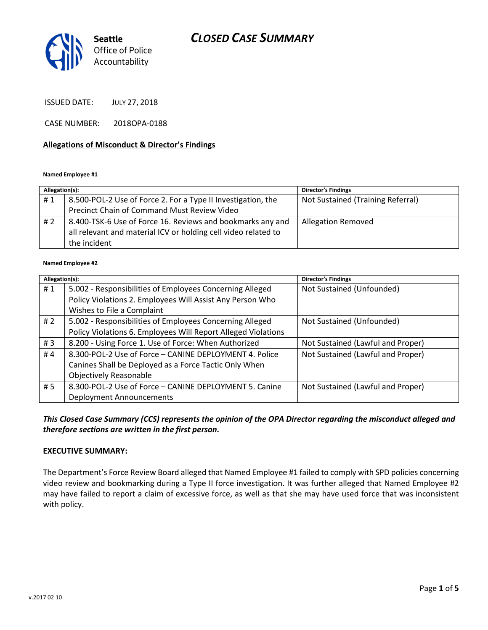# CLOSED CASE SUMMARY



ISSUED DATE: JULY 27, 2018

CASE NUMBER: 2018OPA-0188

#### Allegations of Misconduct & Director's Findings

#### Named Employee #1

| Allegation(s): |                                                                | <b>Director's Findings</b>        |
|----------------|----------------------------------------------------------------|-----------------------------------|
| #1             | 8.500-POL-2 Use of Force 2. For a Type II Investigation, the   | Not Sustained (Training Referral) |
|                | Precinct Chain of Command Must Review Video                    |                                   |
| # 2            | 8.400-TSK-6 Use of Force 16. Reviews and bookmarks any and     | <b>Allegation Removed</b>         |
|                | all relevant and material ICV or holding cell video related to |                                   |
|                | the incident                                                   |                                   |

#### Named Employee #2

| Allegation(s): |                                                               | <b>Director's Findings</b>        |
|----------------|---------------------------------------------------------------|-----------------------------------|
| #1             | 5.002 - Responsibilities of Employees Concerning Alleged      | Not Sustained (Unfounded)         |
|                | Policy Violations 2. Employees Will Assist Any Person Who     |                                   |
|                | Wishes to File a Complaint                                    |                                   |
| #2             | 5.002 - Responsibilities of Employees Concerning Alleged      | Not Sustained (Unfounded)         |
|                | Policy Violations 6. Employees Will Report Alleged Violations |                                   |
| #3             | 8.200 - Using Force 1. Use of Force: When Authorized          | Not Sustained (Lawful and Proper) |
| #4             | 8.300-POL-2 Use of Force - CANINE DEPLOYMENT 4. Police        | Not Sustained (Lawful and Proper) |
|                | Canines Shall be Deployed as a Force Tactic Only When         |                                   |
|                | <b>Objectively Reasonable</b>                                 |                                   |
| #5             | 8.300-POL-2 Use of Force - CANINE DEPLOYMENT 5. Canine        | Not Sustained (Lawful and Proper) |
|                | <b>Deployment Announcements</b>                               |                                   |

# This Closed Case Summary (CCS) represents the opinion of the OPA Director regarding the misconduct alleged and therefore sections are written in the first person.

#### EXECUTIVE SUMMARY:

The Department's Force Review Board alleged that Named Employee #1 failed to comply with SPD policies concerning video review and bookmarking during a Type II force investigation. It was further alleged that Named Employee #2 may have failed to report a claim of excessive force, as well as that she may have used force that was inconsistent with policy.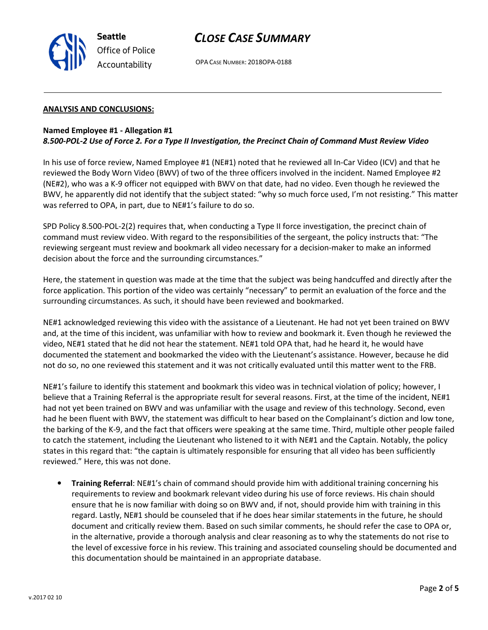OPA CASE NUMBER: 2018OPA-0188

# ANALYSIS AND CONCLUSIONS:

Seattle

Office of Police Accountability

#### Named Employee #1 - Allegation #1 8.500-POL-2 Use of Force 2. For a Type II Investigation, the Precinct Chain of Command Must Review Video

In his use of force review, Named Employee #1 (NE#1) noted that he reviewed all In-Car Video (ICV) and that he reviewed the Body Worn Video (BWV) of two of the three officers involved in the incident. Named Employee #2 (NE#2), who was a K-9 officer not equipped with BWV on that date, had no video. Even though he reviewed the BWV, he apparently did not identify that the subject stated: "why so much force used, I'm not resisting." This matter was referred to OPA, in part, due to NE#1's failure to do so.

SPD Policy 8.500-POL-2(2) requires that, when conducting a Type II force investigation, the precinct chain of command must review video. With regard to the responsibilities of the sergeant, the policy instructs that: "The reviewing sergeant must review and bookmark all video necessary for a decision-maker to make an informed decision about the force and the surrounding circumstances."

Here, the statement in question was made at the time that the subject was being handcuffed and directly after the force application. This portion of the video was certainly "necessary" to permit an evaluation of the force and the surrounding circumstances. As such, it should have been reviewed and bookmarked.

NE#1 acknowledged reviewing this video with the assistance of a Lieutenant. He had not yet been trained on BWV and, at the time of this incident, was unfamiliar with how to review and bookmark it. Even though he reviewed the video, NE#1 stated that he did not hear the statement. NE#1 told OPA that, had he heard it, he would have documented the statement and bookmarked the video with the Lieutenant's assistance. However, because he did not do so, no one reviewed this statement and it was not critically evaluated until this matter went to the FRB.

NE#1's failure to identify this statement and bookmark this video was in technical violation of policy; however, I believe that a Training Referral is the appropriate result for several reasons. First, at the time of the incident, NE#1 had not yet been trained on BWV and was unfamiliar with the usage and review of this technology. Second, even had he been fluent with BWV, the statement was difficult to hear based on the Complainant's diction and low tone, the barking of the K-9, and the fact that officers were speaking at the same time. Third, multiple other people failed to catch the statement, including the Lieutenant who listened to it with NE#1 and the Captain. Notably, the policy states in this regard that: "the captain is ultimately responsible for ensuring that all video has been sufficiently reviewed." Here, this was not done.

• Training Referral: NE#1's chain of command should provide him with additional training concerning his requirements to review and bookmark relevant video during his use of force reviews. His chain should ensure that he is now familiar with doing so on BWV and, if not, should provide him with training in this regard. Lastly, NE#1 should be counseled that if he does hear similar statements in the future, he should document and critically review them. Based on such similar comments, he should refer the case to OPA or, in the alternative, provide a thorough analysis and clear reasoning as to why the statements do not rise to the level of excessive force in his review. This training and associated counseling should be documented and this documentation should be maintained in an appropriate database.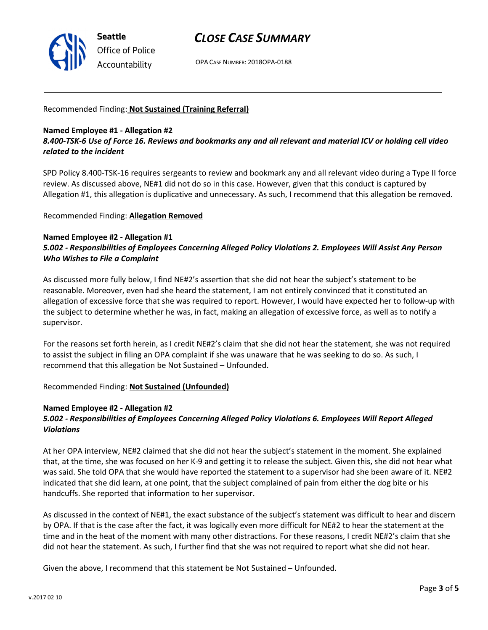

# CLOSE CASE SUMMARY

OPA CASE NUMBER: 2018OPA-0188

# Recommended Finding: Not Sustained (Training Referral)

# Named Employee #1 - Allegation #2

8.400-TSK-6 Use of Force 16. Reviews and bookmarks any and all relevant and material ICV or holding cell video related to the incident

SPD Policy 8.400-TSK-16 requires sergeants to review and bookmark any and all relevant video during a Type II force review. As discussed above, NE#1 did not do so in this case. However, given that this conduct is captured by Allegation #1, this allegation is duplicative and unnecessary. As such, I recommend that this allegation be removed.

### Recommended Finding: Allegation Removed

# Named Employee #2 - Allegation #1 5.002 - Responsibilities of Employees Concerning Alleged Policy Violations 2. Employees Will Assist Any Person Who Wishes to File a Complaint

As discussed more fully below, I find NE#2's assertion that she did not hear the subject's statement to be reasonable. Moreover, even had she heard the statement, I am not entirely convinced that it constituted an allegation of excessive force that she was required to report. However, I would have expected her to follow-up with the subject to determine whether he was, in fact, making an allegation of excessive force, as well as to notify a supervisor.

For the reasons set forth herein, as I credit NE#2's claim that she did not hear the statement, she was not required to assist the subject in filing an OPA complaint if she was unaware that he was seeking to do so. As such, I recommend that this allegation be Not Sustained – Unfounded.

Recommended Finding: Not Sustained (Unfounded)

### Named Employee #2 - Allegation #2

# 5.002 - Responsibilities of Employees Concerning Alleged Policy Violations 6. Employees Will Report Alleged Violations

At her OPA interview, NE#2 claimed that she did not hear the subject's statement in the moment. She explained that, at the time, she was focused on her K-9 and getting it to release the subject. Given this, she did not hear what was said. She told OPA that she would have reported the statement to a supervisor had she been aware of it. NE#2 indicated that she did learn, at one point, that the subject complained of pain from either the dog bite or his handcuffs. She reported that information to her supervisor.

As discussed in the context of NE#1, the exact substance of the subject's statement was difficult to hear and discern by OPA. If that is the case after the fact, it was logically even more difficult for NE#2 to hear the statement at the time and in the heat of the moment with many other distractions. For these reasons, I credit NE#2's claim that she did not hear the statement. As such, I further find that she was not required to report what she did not hear.

Given the above, I recommend that this statement be Not Sustained – Unfounded.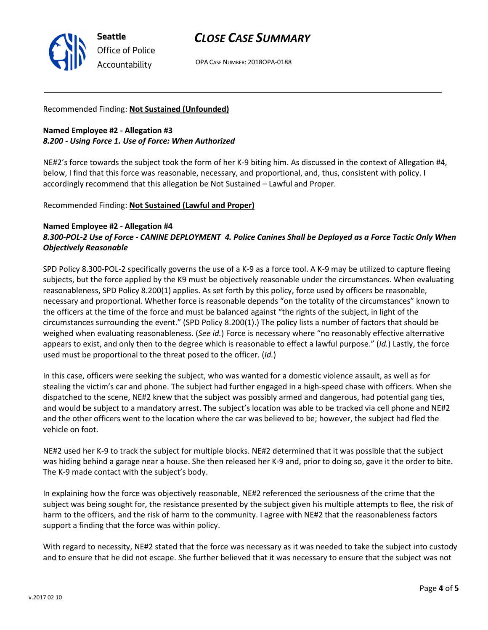

# CLOSE CASE SUMMARY

OPA CASE NUMBER: 2018OPA-0188

# Recommended Finding: Not Sustained (Unfounded)

# Named Employee #2 - Allegation #3 8.200 - Using Force 1. Use of Force: When Authorized

NE#2's force towards the subject took the form of her K-9 biting him. As discussed in the context of Allegation #4, below, I find that this force was reasonable, necessary, and proportional, and, thus, consistent with policy. I accordingly recommend that this allegation be Not Sustained – Lawful and Proper.

Recommended Finding: Not Sustained (Lawful and Proper)

# Named Employee #2 - Allegation #4

# 8.300-POL-2 Use of Force - CANINE DEPLOYMENT 4. Police Canines Shall be Deployed as a Force Tactic Only When Objectively Reasonable

SPD Policy 8.300-POL-2 specifically governs the use of a K-9 as a force tool. A K-9 may be utilized to capture fleeing subjects, but the force applied by the K9 must be objectively reasonable under the circumstances. When evaluating reasonableness, SPD Policy 8.200(1) applies. As set forth by this policy, force used by officers be reasonable, necessary and proportional. Whether force is reasonable depends "on the totality of the circumstances" known to the officers at the time of the force and must be balanced against "the rights of the subject, in light of the circumstances surrounding the event." (SPD Policy 8.200(1).) The policy lists a number of factors that should be weighed when evaluating reasonableness. (See id.) Force is necessary where "no reasonably effective alternative appears to exist, and only then to the degree which is reasonable to effect a lawful purpose." (Id.) Lastly, the force used must be proportional to the threat posed to the officer. (Id.)

In this case, officers were seeking the subject, who was wanted for a domestic violence assault, as well as for stealing the victim's car and phone. The subject had further engaged in a high-speed chase with officers. When she dispatched to the scene, NE#2 knew that the subject was possibly armed and dangerous, had potential gang ties, and would be subject to a mandatory arrest. The subject's location was able to be tracked via cell phone and NE#2 and the other officers went to the location where the car was believed to be; however, the subject had fled the vehicle on foot.

NE#2 used her K-9 to track the subject for multiple blocks. NE#2 determined that it was possible that the subject was hiding behind a garage near a house. She then released her K-9 and, prior to doing so, gave it the order to bite. The K-9 made contact with the subject's body.

In explaining how the force was objectively reasonable, NE#2 referenced the seriousness of the crime that the subject was being sought for, the resistance presented by the subject given his multiple attempts to flee, the risk of harm to the officers, and the risk of harm to the community. I agree with NE#2 that the reasonableness factors support a finding that the force was within policy.

With regard to necessity, NE#2 stated that the force was necessary as it was needed to take the subject into custody and to ensure that he did not escape. She further believed that it was necessary to ensure that the subject was not